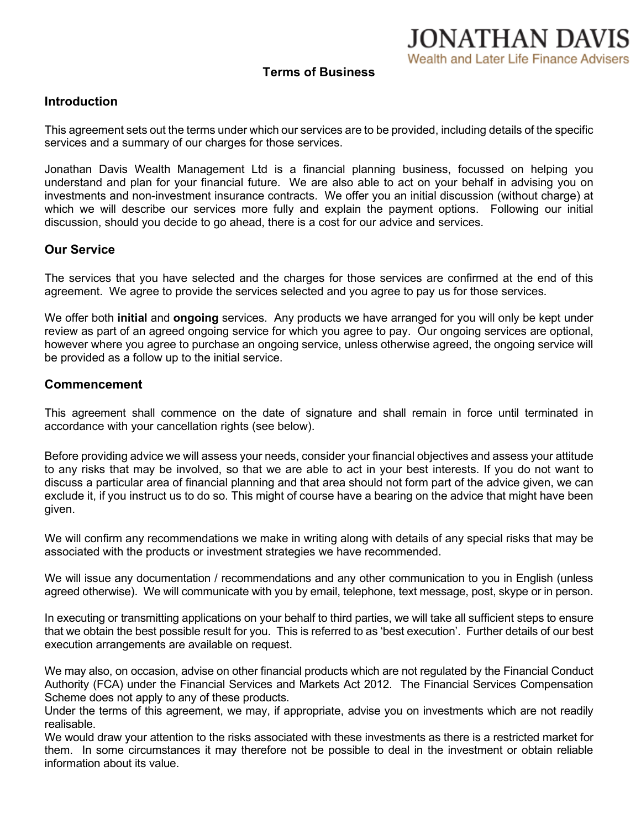**JONATHAN DAVIS** Wealth and Later Life Finance Advisers

# **Introduction**

This agreement sets out the terms under which our services are to be provided, including details of the specific services and a summary of our charges for those services.

Jonathan Davis Wealth Management Ltd is a financial planning business, focussed on helping you understand and plan for your financial future. We are also able to act on your behalf in advising you on investments and non-investment insurance contracts. We offer you an initial discussion (without charge) at which we will describe our services more fully and explain the payment options. Following our initial discussion, should you decide to go ahead, there is a cost for our advice and services.

# **Our Service**

The services that you have selected and the charges for those services are confirmed at the end of this agreement. We agree to provide the services selected and you agree to pay us for those services.

We offer both **initial** and **ongoing** services. Any products we have arranged for you will only be kept under review as part of an agreed ongoing service for which you agree to pay. Our ongoing services are optional, however where you agree to purchase an ongoing service, unless otherwise agreed, the ongoing service will be provided as a follow up to the initial service.

# **Commencement**

This agreement shall commence on the date of signature and shall remain in force until terminated in accordance with your cancellation rights (see below).

Before providing advice we will assess your needs, consider your financial objectives and assess your attitude to any risks that may be involved, so that we are able to act in your best interests. If you do not want to discuss a particular area of financial planning and that area should not form part of the advice given, we can exclude it, if you instruct us to do so. This might of course have a bearing on the advice that might have been given.

We will confirm any recommendations we make in writing along with details of any special risks that may be associated with the products or investment strategies we have recommended.

We will issue any documentation / recommendations and any other communication to you in English (unless agreed otherwise). We will communicate with you by email, telephone, text message, post, skype or in person.

In executing or transmitting applications on your behalf to third parties, we will take all sufficient steps to ensure that we obtain the best possible result for you. This is referred to as 'best execution'. Further details of our best execution arrangements are available on request.

We may also, on occasion, advise on other financial products which are not regulated by the Financial Conduct Authority (FCA) under the Financial Services and Markets Act 2012. The Financial Services Compensation Scheme does not apply to any of these products.

Under the terms of this agreement, we may, if appropriate, advise you on investments which are not readily realisable.

We would draw your attention to the risks associated with these investments as there is a restricted market for them. In some circumstances it may therefore not be possible to deal in the investment or obtain reliable information about its value.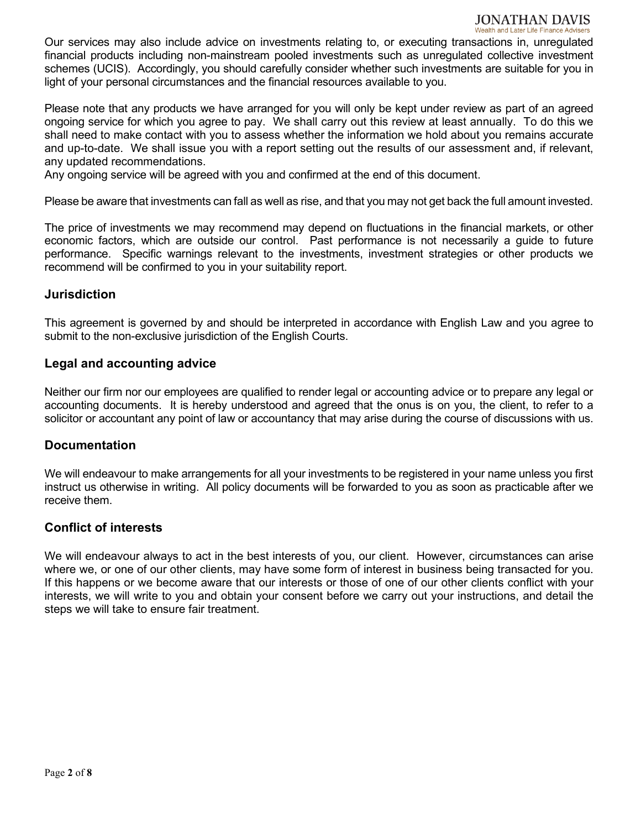#### **JONATHAN DAVIS** Wealth and Later Life Finance Advisers

Our services may also include advice on investments relating to, or executing transactions in, unregulated financial products including non-mainstream pooled investments such as unregulated collective investment schemes (UCIS). Accordingly, you should carefully consider whether such investments are suitable for you in light of your personal circumstances and the financial resources available to you.

Please note that any products we have arranged for you will only be kept under review as part of an agreed ongoing service for which you agree to pay. We shall carry out this review at least annually. To do this we shall need to make contact with you to assess whether the information we hold about you remains accurate and up-to-date. We shall issue you with a report setting out the results of our assessment and, if relevant, any updated recommendations.

Any ongoing service will be agreed with you and confirmed at the end of this document.

Please be aware that investments can fall as well as rise, and that you may not get back the full amount invested.

The price of investments we may recommend may depend on fluctuations in the financial markets, or other economic factors, which are outside our control. Past performance is not necessarily a guide to future performance. Specific warnings relevant to the investments, investment strategies or other products we recommend will be confirmed to you in your suitability report.

# **Jurisdiction**

This agreement is governed by and should be interpreted in accordance with English Law and you agree to submit to the non-exclusive jurisdiction of the English Courts.

# **Legal and accounting advice**

Neither our firm nor our employees are qualified to render legal or accounting advice or to prepare any legal or accounting documents. It is hereby understood and agreed that the onus is on you, the client, to refer to a solicitor or accountant any point of law or accountancy that may arise during the course of discussions with us.

# **Documentation**

We will endeavour to make arrangements for all your investments to be registered in your name unless you first instruct us otherwise in writing. All policy documents will be forwarded to you as soon as practicable after we receive them.

# **Conflict of interests**

We will endeavour always to act in the best interests of you, our client. However, circumstances can arise where we, or one of our other clients, may have some form of interest in business being transacted for you. If this happens or we become aware that our interests or those of one of our other clients conflict with your interests, we will write to you and obtain your consent before we carry out your instructions, and detail the steps we will take to ensure fair treatment.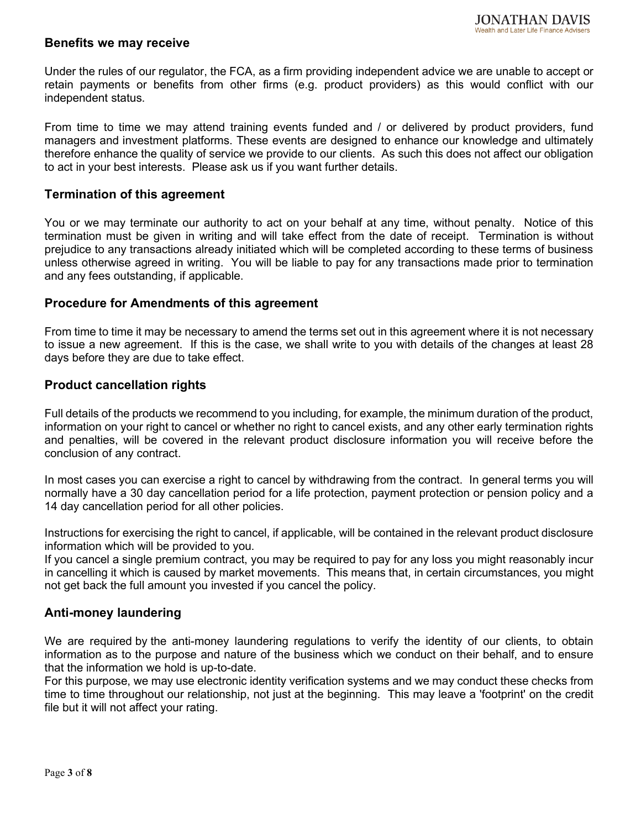#### **Benefits we may receive**

Under the rules of our regulator, the FCA, as a firm providing independent advice we are unable to accept or retain payments or benefits from other firms (e.g. product providers) as this would conflict with our independent status.

From time to time we may attend training events funded and / or delivered by product providers, fund managers and investment platforms. These events are designed to enhance our knowledge and ultimately therefore enhance the quality of service we provide to our clients. As such this does not affect our obligation to act in your best interests. Please ask us if you want further details.

# **Termination of this agreement**

You or we may terminate our authority to act on your behalf at any time, without penalty. Notice of this termination must be given in writing and will take effect from the date of receipt. Termination is without prejudice to any transactions already initiated which will be completed according to these terms of business unless otherwise agreed in writing. You will be liable to pay for any transactions made prior to termination and any fees outstanding, if applicable.

#### **Procedure for Amendments of this agreement**

From time to time it may be necessary to amend the terms set out in this agreement where it is not necessary to issue a new agreement. If this is the case, we shall write to you with details of the changes at least 28 days before they are due to take effect.

#### **Product cancellation rights**

Full details of the products we recommend to you including, for example, the minimum duration of the product, information on your right to cancel or whether no right to cancel exists, and any other early termination rights and penalties, will be covered in the relevant product disclosure information you will receive before the conclusion of any contract.

In most cases you can exercise a right to cancel by withdrawing from the contract. In general terms you will normally have a 30 day cancellation period for a life protection, payment protection or pension policy and a 14 day cancellation period for all other policies.

Instructions for exercising the right to cancel, if applicable, will be contained in the relevant product disclosure information which will be provided to you.

If you cancel a single premium contract, you may be required to pay for any loss you might reasonably incur in cancelling it which is caused by market movements. This means that, in certain circumstances, you might not get back the full amount you invested if you cancel the policy.

# **Anti-money laundering**

We are required by the anti-money laundering regulations to verify the identity of our clients, to obtain information as to the purpose and nature of the business which we conduct on their behalf, and to ensure that the information we hold is up-to-date.

For this purpose, we may use electronic identity verification systems and we may conduct these checks from time to time throughout our relationship, not just at the beginning. This may leave a 'footprint' on the credit file but it will not affect your rating.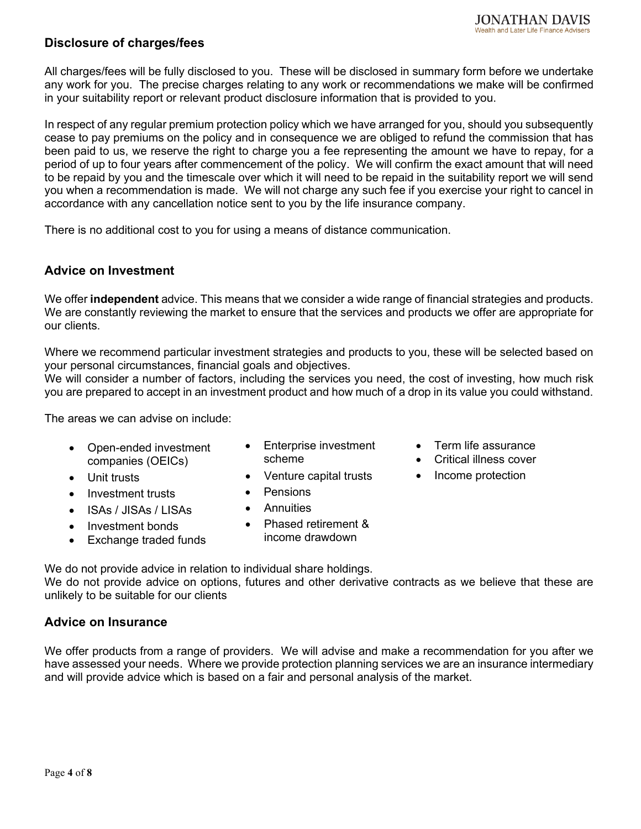# **Disclosure of charges/fees**

All charges/fees will be fully disclosed to you. These will be disclosed in summary form before we undertake any work for you. The precise charges relating to any work or recommendations we make will be confirmed in your suitability report or relevant product disclosure information that is provided to you.

In respect of any regular premium protection policy which we have arranged for you, should you subsequently cease to pay premiums on the policy and in consequence we are obliged to refund the commission that has been paid to us, we reserve the right to charge you a fee representing the amount we have to repay, for a period of up to four years after commencement of the policy. We will confirm the exact amount that will need to be repaid by you and the timescale over which it will need to be repaid in the suitability report we will send you when a recommendation is made. We will not charge any such fee if you exercise your right to cancel in accordance with any cancellation notice sent to you by the life insurance company.

There is no additional cost to you for using a means of distance communication.

# **Advice on Investment**

We offer **independent** advice. This means that we consider a wide range of financial strategies and products. We are constantly reviewing the market to ensure that the services and products we offer are appropriate for our clients.

Where we recommend particular investment strategies and products to you, these will be selected based on your personal circumstances, financial goals and objectives.

We will consider a number of factors, including the services you need, the cost of investing, how much risk you are prepared to accept in an investment product and how much of a drop in its value you could withstand.

The areas we can advise on include:

- Open-ended investment companies (OEICs)
- Enterprise investment scheme
- Term life assurance
- Critical illness cover
- Unit trusts Venture capital trusts Income protection
- Investment trusts Pensions
- ISAs / JISAs / LISAs Annuities
	-
- Investment bonds
- Exchange traded funds
- Phased retirement & income drawdown

We do not provide advice in relation to individual share holdings.

We do not provide advice on options, futures and other derivative contracts as we believe that these are unlikely to be suitable for our clients

# **Advice on Insurance**

We offer products from a range of providers. We will advise and make a recommendation for you after we have assessed your needs. Where we provide protection planning services we are an insurance intermediary and will provide advice which is based on a fair and personal analysis of the market.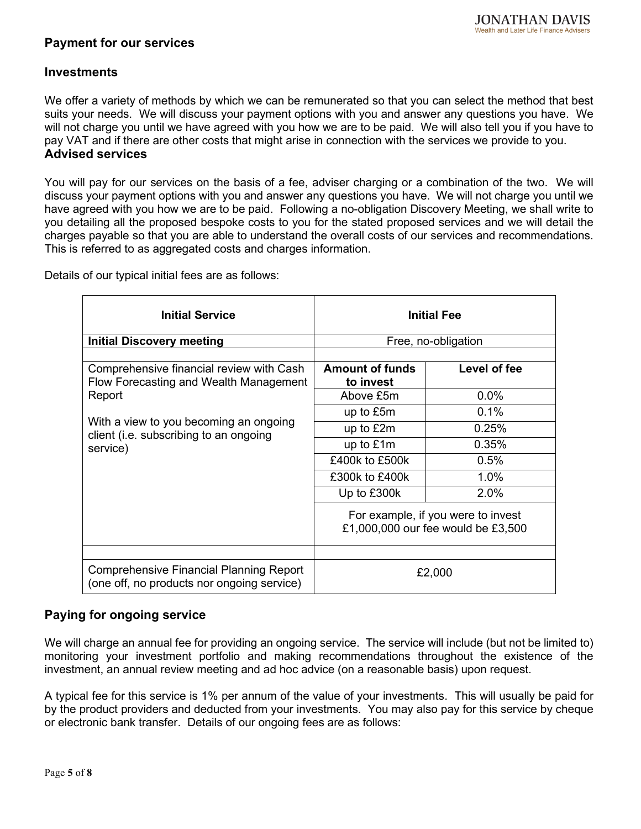# **Payment for our services**

# **Investments**

We offer a variety of methods by which we can be remunerated so that you can select the method that best suits your needs. We will discuss your payment options with you and answer any questions you have. We will not charge you until we have agreed with you how we are to be paid. We will also tell you if you have to pay VAT and if there are other costs that might arise in connection with the services we provide to you. **Advised services**

You will pay for our services on the basis of a fee, adviser charging or a combination of the two. We will discuss your payment options with you and answer any questions you have. We will not charge you until we have agreed with you how we are to be paid. Following a no-obligation Discovery Meeting, we shall write to you detailing all the proposed bespoke costs to you for the stated proposed services and we will detail the charges payable so that you are able to understand the overall costs of our services and recommendations. This is referred to as aggregated costs and charges information.

Details of our typical initial fees are as follows:

| <b>Initial Service</b>                                                                       | <b>Initial Fee</b>                                                       |              |  |
|----------------------------------------------------------------------------------------------|--------------------------------------------------------------------------|--------------|--|
| <b>Initial Discovery meeting</b>                                                             | Free, no-obligation                                                      |              |  |
|                                                                                              |                                                                          |              |  |
| Comprehensive financial review with Cash<br>Flow Forecasting and Wealth Management           | <b>Amount of funds</b><br>to invest                                      | Level of fee |  |
| Report                                                                                       | Above £5m                                                                | $0.0\%$      |  |
| With a view to you becoming an ongoing<br>client (i.e. subscribing to an ongoing<br>service) | up to £5m                                                                | 0.1%         |  |
|                                                                                              | up to £2m                                                                | 0.25%        |  |
|                                                                                              | up to £1m                                                                | 0.35%        |  |
|                                                                                              | £400k to £500k                                                           | 0.5%         |  |
|                                                                                              | £300k to £400k                                                           | 1.0%         |  |
|                                                                                              | Up to £300k                                                              | 2.0%         |  |
|                                                                                              | For example, if you were to invest<br>£1,000,000 our fee would be £3,500 |              |  |
|                                                                                              |                                                                          |              |  |
| <b>Comprehensive Financial Planning Report</b><br>(one off, no products nor ongoing service) |                                                                          | £2,000       |  |

# **Paying for ongoing service**

We will charge an annual fee for providing an ongoing service. The service will include (but not be limited to) monitoring your investment portfolio and making recommendations throughout the existence of the investment, an annual review meeting and ad hoc advice (on a reasonable basis) upon request.

A typical fee for this service is 1% per annum of the value of your investments. This will usually be paid for by the product providers and deducted from your investments. You may also pay for this service by cheque or electronic bank transfer. Details of our ongoing fees are as follows: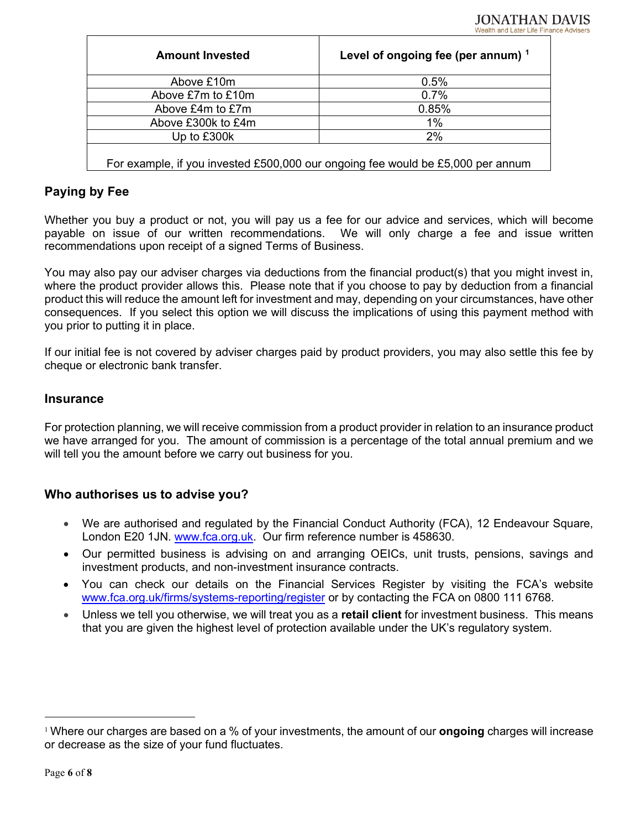| <b>Amount Invested</b> | Level of ongoing fee (per annum) $1$ |  |
|------------------------|--------------------------------------|--|
| Above £10m             | 0.5%                                 |  |
| Above £7m to £10m      | 0.7%                                 |  |
| Above £4m to £7m       | 0.85%                                |  |
| Above £300k to £4m     | 1%                                   |  |
| Up to £300k            | 2%                                   |  |
|                        |                                      |  |

For example, if you invested £500,000 our ongoing fee would be £5,000 per annum

# **Paying by Fee**

Whether you buy a product or not, you will pay us a fee for our advice and services, which will become payable on issue of our written recommendations. We will only charge a fee and issue written recommendations upon receipt of a signed Terms of Business.

You may also pay our adviser charges via deductions from the financial product(s) that you might invest in, where the product provider allows this. Please note that if you choose to pay by deduction from a financial product this will reduce the amount left for investment and may, depending on your circumstances, have other consequences. If you select this option we will discuss the implications of using this payment method with you prior to putting it in place.

If our initial fee is not covered by adviser charges paid by product providers, you may also settle this fee by cheque or electronic bank transfer.

#### **Insurance**

For protection planning, we will receive commission from a product provider in relation to an insurance product we have arranged for you. The amount of commission is a percentage of the total annual premium and we will tell you the amount before we carry out business for you.

# **Who authorises us to advise you?**

- We are authorised and regulated by the Financial Conduct Authority (FCA), 12 Endeavour Square, London E20 1JN. www.fca.org.uk. Our firm reference number is 458630.
- Our permitted business is advising on and arranging OEICs, unit trusts, pensions, savings and investment products, and non-investment insurance contracts.
- You can check our details on the Financial Services Register by visiting the FCA's website [www.fca.org.uk/firms/systems-reporting/register](http://www.fca.org.uk/firms/systems-reporting/register) or by contacting the FCA on 0800 111 6768.
- Unless we tell you otherwise, we will treat you as a **retail client** for investment business. This means that you are given the highest level of protection available under the UK's regulatory system.

<span id="page-5-0"></span><sup>1</sup> Where our charges are based on a % of your investments, the amount of our **ongoing** charges will increase or decrease as the size of your fund fluctuates.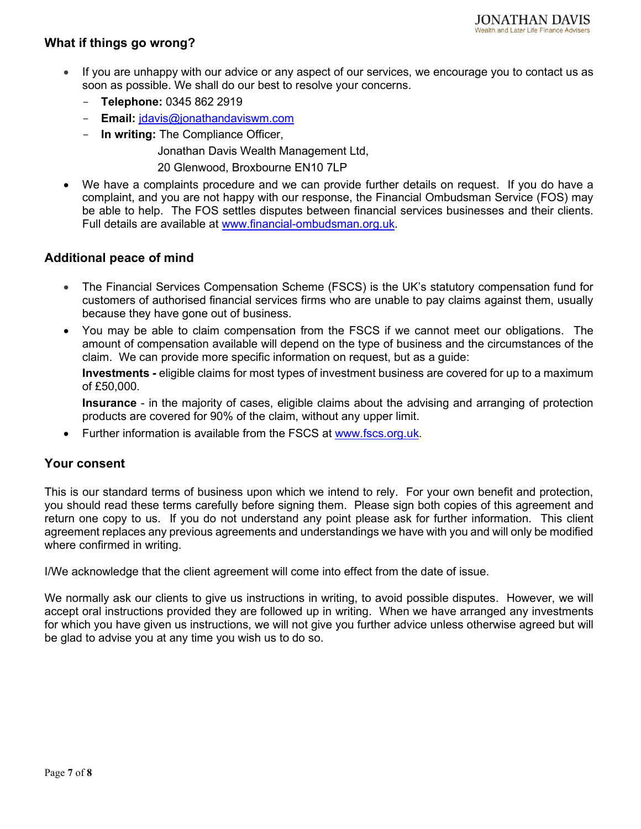# **What if things go wrong?**

- If you are unhappy with our advice or any aspect of our services, we encourage you to contact us as soon as possible. We shall do our best to resolve your concerns.
	- **Telephone:** 0345 862 2919
	- **Email:** [jdavis@jonathandaviswm.com](mailto:jdavis@jonathandaviswm.com)
	- **In writing:** The Compliance Officer,

Jonathan Davis Wealth Management Ltd,

20 Glenwood, Broxbourne EN10 7LP

• We have a complaints procedure and we can provide further details on request. If you do have a complaint, and you are not happy with our response, the Financial Ombudsman Service (FOS) may be able to help. The FOS settles disputes between financial services businesses and their clients. Full details are available at [www.financial-ombudsman.org.uk.](http://www.financial-ombudsman.org.uk/)

# **Additional peace of mind**

- The Financial Services Compensation Scheme (FSCS) is the UK's statutory compensation fund for customers of authorised financial services firms who are unable to pay claims against them, usually because they have gone out of business.
- You may be able to claim compensation from the FSCS if we cannot meet our obligations. The amount of compensation available will depend on the type of business and the circumstances of the claim. We can provide more specific information on request, but as a guide:

**Investments -** eligible claims for most types of investment business are covered for up to a maximum of £50,000.

**Insurance** - in the majority of cases, eligible claims about the advising and arranging of protection products are covered for 90% of the claim, without any upper limit.

• Further information is available from the FSCS at [www.fscs.org.uk.](http://www.fscs.org.uk/)

# **Your consent**

This is our standard terms of business upon which we intend to rely. For your own benefit and protection, you should read these terms carefully before signing them. Please sign both copies of this agreement and return one copy to us. If you do not understand any point please ask for further information. This client agreement replaces any previous agreements and understandings we have with you and will only be modified where confirmed in writing.

I/We acknowledge that the client agreement will come into effect from the date of issue.

We normally ask our clients to give us instructions in writing, to avoid possible disputes. However, we will accept oral instructions provided they are followed up in writing. When we have arranged any investments for which you have given us instructions, we will not give you further advice unless otherwise agreed but will be glad to advise you at any time you wish us to do so.